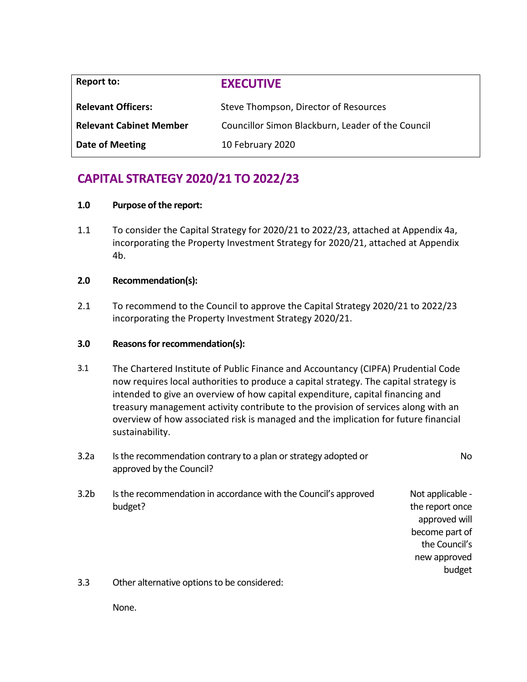| Report to:                     | <b>EXECUTIVE</b>                                  |
|--------------------------------|---------------------------------------------------|
| <b>Relevant Officers:</b>      | Steve Thompson, Director of Resources             |
| <b>Relevant Cabinet Member</b> | Councillor Simon Blackburn, Leader of the Council |
| Date of Meeting                | 10 February 2020                                  |

## **CAPITAL STRATEGY 2020/21 TO 2022/23**

### **1.0 Purpose of the report:**

1.1 To consider the Capital Strategy for 2020/21 to 2022/23, attached at Appendix 4a, incorporating the Property Investment Strategy for 2020/21, attached at Appendix 4b.

### **2.0 Recommendation(s):**

2.1 To recommend to the Council to approve the Capital Strategy 2020/21 to 2022/23 incorporating the Property Investment Strategy 2020/21.

#### **3.0 Reasons for recommendation(s):**

3.1 The Chartered Institute of Public Finance and Accountancy (CIPFA) Prudential Code now requires local authorities to produce a capital strategy. The capital strategy is intended to give an overview of how capital expenditure, capital financing and treasury management activity contribute to the provision of services along with an overview of how associated risk is managed and the implication for future financial sustainability.

| 3.2a             | Is the recommendation contrary to a plan or strategy adopted or<br>approved by the Council? | No                                                                                                                |
|------------------|---------------------------------------------------------------------------------------------|-------------------------------------------------------------------------------------------------------------------|
| 3.2 <sub>b</sub> | Is the recommendation in accordance with the Council's approved<br>budget?                  | Not applicable -<br>the report once<br>approved will<br>become part of<br>the Council's<br>new approved<br>budget |
| २ २              | Other alternative ontions to be considered:                                                 |                                                                                                                   |

3.3 Other alternative options to be considered:

None.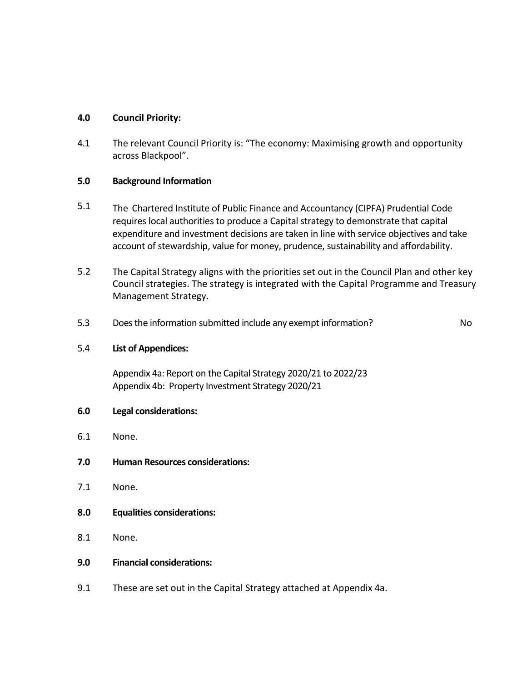### **4.0 Council Priority:**

4.1 The relevant Council Priority is: "The economy: Maximising growth and opportunity across Blackpool".

### **5.0 Background Information**

- 5.1 The Chartered Institute of Public Finance and Accountancy (CIPFA) Prudential Code requires local authorities to produce a Capital strategy to demonstrate that capital expenditure and investment decisions are taken in line with service objectives and take account of stewardship, value for money, prudence, sustainability and affordability.
- 5.2 The Capital Strategy aligns with the priorities set out in the Council Plan and other key Council strategies. The strategy is integrated with the Capital Programme and Treasury Management Strategy.
- 5.3 Does the information submitted include any exempt information? No

### 5.4 **List of Appendices:**

Appendix 4a: Report on the Capital Strategy 2020/21 to 2022/23 Appendix 4b: Property Investment Strategy 2020/21

- **6.0 Legal considerations:**
- 6.1 None.
- **7.0 Human Resources considerations:**
- 7.1 None.
- **8.0 Equalities considerations:**
- 8.1 None.
- **9.0 Financial considerations:**
- 9.1 These are set out in the Capital Strategy attached at Appendix 4a.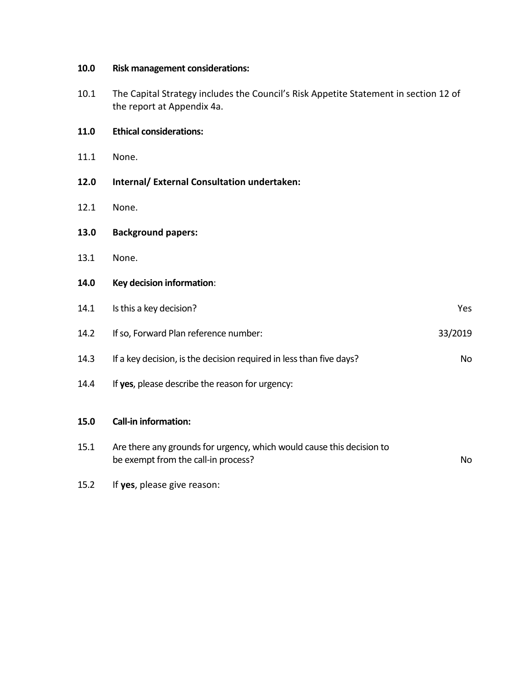| 10.0 | <b>Risk management considerations:</b>                                                                             |           |
|------|--------------------------------------------------------------------------------------------------------------------|-----------|
| 10.1 | The Capital Strategy includes the Council's Risk Appetite Statement in section 12 of<br>the report at Appendix 4a. |           |
| 11.0 | <b>Ethical considerations:</b>                                                                                     |           |
| 11.1 | None.                                                                                                              |           |
| 12.0 | Internal/ External Consultation undertaken:                                                                        |           |
| 12.1 | None.                                                                                                              |           |
| 13.0 | <b>Background papers:</b>                                                                                          |           |
| 13.1 | None.                                                                                                              |           |
| 14.0 | Key decision information:                                                                                          |           |
| 14.1 | Is this a key decision?                                                                                            | Yes       |
| 14.2 | If so, Forward Plan reference number:                                                                              | 33/2019   |
| 14.3 | If a key decision, is the decision required in less than five days?                                                | <b>No</b> |
| 14.4 | If yes, please describe the reason for urgency:                                                                    |           |
| 15.0 | <b>Call-in information:</b>                                                                                        |           |
| 15.1 | Are there any grounds for urgency, which would cause this decision to<br>be exempt from the call-in process?       | <b>No</b> |
| 15.2 | If yes, please give reason:                                                                                        |           |